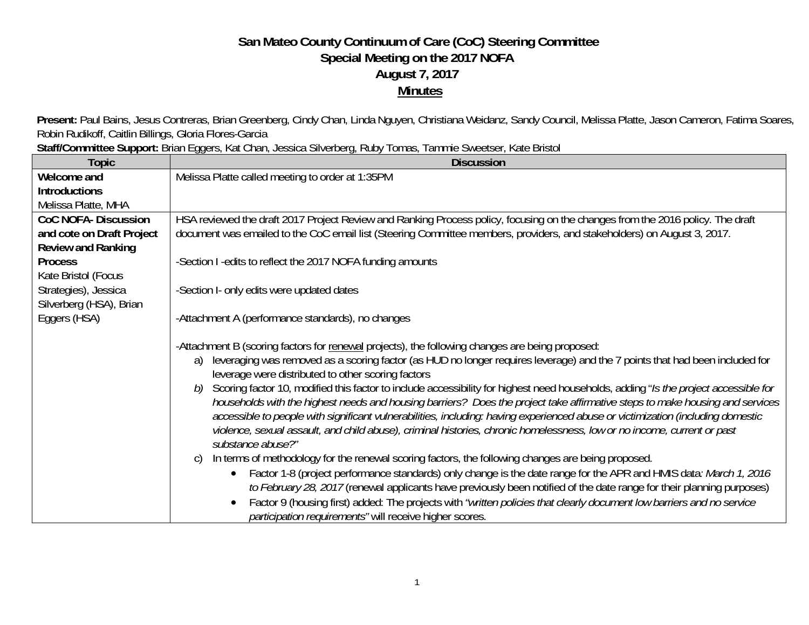## **San Mateo County Continuum of Care (CoC) Steering Committee Special Meeting on the 2017 NOFA August 7, 2017 Minutes**

Present: Paul Bains, Jesus Contreras, Brian Greenberg, Cindy Chan, Linda Nguyen, Christiana Weidanz, Sandy Council, Melissa Platte, Jason Cameron, Fatima Soares, Robin Rudikoff, Caitlin Billings, Gloria Flores-Garcia

**Staff/Committee Support:** Brian Eggers, Kat Chan, Jessica Silverberg, Ruby Tomas, Tammie Sweetser, Kate Bristol

| <b>Topic</b>                | <b>Discussion</b>                                                                                                                                                                                                                                                                                                                                                                                                                                                                                                                                                                                                                                                                                                                                                                                                                                                                                                                                                                                                                                                                                                                                                                                                                                                                                                                                                                                        |
|-----------------------------|----------------------------------------------------------------------------------------------------------------------------------------------------------------------------------------------------------------------------------------------------------------------------------------------------------------------------------------------------------------------------------------------------------------------------------------------------------------------------------------------------------------------------------------------------------------------------------------------------------------------------------------------------------------------------------------------------------------------------------------------------------------------------------------------------------------------------------------------------------------------------------------------------------------------------------------------------------------------------------------------------------------------------------------------------------------------------------------------------------------------------------------------------------------------------------------------------------------------------------------------------------------------------------------------------------------------------------------------------------------------------------------------------------|
| Welcome and                 | Melissa Platte called meeting to order at 1:35PM                                                                                                                                                                                                                                                                                                                                                                                                                                                                                                                                                                                                                                                                                                                                                                                                                                                                                                                                                                                                                                                                                                                                                                                                                                                                                                                                                         |
| <b>Introductions</b>        |                                                                                                                                                                                                                                                                                                                                                                                                                                                                                                                                                                                                                                                                                                                                                                                                                                                                                                                                                                                                                                                                                                                                                                                                                                                                                                                                                                                                          |
| Melissa Platte, MHA         |                                                                                                                                                                                                                                                                                                                                                                                                                                                                                                                                                                                                                                                                                                                                                                                                                                                                                                                                                                                                                                                                                                                                                                                                                                                                                                                                                                                                          |
| <b>CoC NOFA- Discussion</b> | HSA reviewed the draft 2017 Project Review and Ranking Process policy, focusing on the changes from the 2016 policy. The draft                                                                                                                                                                                                                                                                                                                                                                                                                                                                                                                                                                                                                                                                                                                                                                                                                                                                                                                                                                                                                                                                                                                                                                                                                                                                           |
| and cote on Draft Project   | document was emailed to the CoC email list (Steering Committee members, providers, and stakeholders) on August 3, 2017.                                                                                                                                                                                                                                                                                                                                                                                                                                                                                                                                                                                                                                                                                                                                                                                                                                                                                                                                                                                                                                                                                                                                                                                                                                                                                  |
| <b>Review and Ranking</b>   |                                                                                                                                                                                                                                                                                                                                                                                                                                                                                                                                                                                                                                                                                                                                                                                                                                                                                                                                                                                                                                                                                                                                                                                                                                                                                                                                                                                                          |
| <b>Process</b>              | -Section I -edits to reflect the 2017 NOFA funding amounts                                                                                                                                                                                                                                                                                                                                                                                                                                                                                                                                                                                                                                                                                                                                                                                                                                                                                                                                                                                                                                                                                                                                                                                                                                                                                                                                               |
| Kate Bristol (Focus         |                                                                                                                                                                                                                                                                                                                                                                                                                                                                                                                                                                                                                                                                                                                                                                                                                                                                                                                                                                                                                                                                                                                                                                                                                                                                                                                                                                                                          |
| Strategies), Jessica        | -Section I- only edits were updated dates                                                                                                                                                                                                                                                                                                                                                                                                                                                                                                                                                                                                                                                                                                                                                                                                                                                                                                                                                                                                                                                                                                                                                                                                                                                                                                                                                                |
| Silverberg (HSA), Brian     |                                                                                                                                                                                                                                                                                                                                                                                                                                                                                                                                                                                                                                                                                                                                                                                                                                                                                                                                                                                                                                                                                                                                                                                                                                                                                                                                                                                                          |
| Eggers (HSA)                | -Attachment A (performance standards), no changes                                                                                                                                                                                                                                                                                                                                                                                                                                                                                                                                                                                                                                                                                                                                                                                                                                                                                                                                                                                                                                                                                                                                                                                                                                                                                                                                                        |
|                             | -Attachment B (scoring factors for renewal projects), the following changes are being proposed:<br>leveraging was removed as a scoring factor (as HUD no longer requires leverage) and the 7 points that had been included for<br>a)<br>leverage were distributed to other scoring factors<br>Scoring factor 10, modified this factor to include accessibility for highest need households, adding "Is the project accessible for<br>b)<br>households with the highest needs and housing barriers? Does the project take affirmative steps to make housing and services<br>accessible to people with significant vulnerabilities, including: having experienced abuse or victimization (including domestic<br>violence, sexual assault, and child abuse), criminal histories, chronic homelessness, low or no income, current or past<br>substance abuse?"<br>In terms of methodology for the renewal scoring factors, the following changes are being proposed.<br>C)<br>Factor 1-8 (project performance standards) only change is the date range for the APR and HMIS data: March 1, 2016<br>to February 28, 2017 (renewal applicants have previously been notified of the date range for their planning purposes)<br>Factor 9 (housing first) added: The projects with "written policies that clearly document low barriers and no service<br>participation requirements" will receive higher scores. |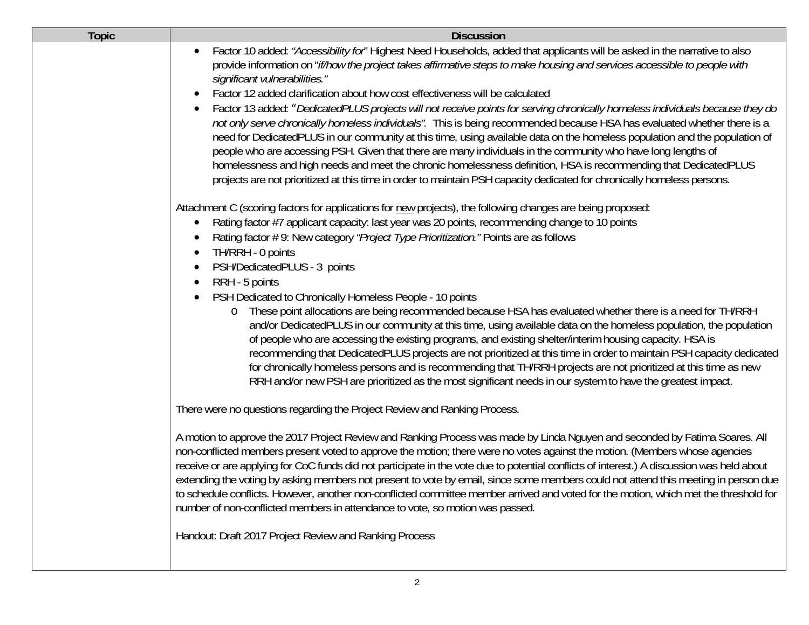| <b>Topic</b> | <b>Discussion</b>                                                                                                                                                                                                                                                                                                                                                                                                                                                                                                                                                                                                                                                                                                                                                                 |
|--------------|-----------------------------------------------------------------------------------------------------------------------------------------------------------------------------------------------------------------------------------------------------------------------------------------------------------------------------------------------------------------------------------------------------------------------------------------------------------------------------------------------------------------------------------------------------------------------------------------------------------------------------------------------------------------------------------------------------------------------------------------------------------------------------------|
|              | Factor 10 added: "Accessibility for" Highest Need Households, added that applicants will be asked in the narrative to also<br>provide information on "if/how the project takes affirmative steps to make housing and services accessible to people with<br>significant vulnerabilities."                                                                                                                                                                                                                                                                                                                                                                                                                                                                                          |
|              | Factor 12 added clarification about how cost effectiveness will be calculated                                                                                                                                                                                                                                                                                                                                                                                                                                                                                                                                                                                                                                                                                                     |
|              | Factor 13 added: "DedicatedPLUS projects will not receive points for serving chronically homeless individuals because they do<br>not only serve chronically homeless individuals". This is being recommended because HSA has evaluated whether there is a<br>need for DedicatedPLUS in our community at this time, using available data on the homeless population and the population of<br>people who are accessing PSH. Given that there are many individuals in the community who have long lengths of<br>homelessness and high needs and meet the chronic homelessness definition, HSA is recommending that DedicatedPLUS<br>projects are not prioritized at this time in order to maintain PSH capacity dedicated for chronically homeless persons.                          |
|              | Attachment C (scoring factors for applications for new projects), the following changes are being proposed:                                                                                                                                                                                                                                                                                                                                                                                                                                                                                                                                                                                                                                                                       |
|              | Rating factor #7 applicant capacity: last year was 20 points, recommending change to 10 points                                                                                                                                                                                                                                                                                                                                                                                                                                                                                                                                                                                                                                                                                    |
|              | Rating factor #9: New category "Project Type Prioritization." Points are as follows<br>TH/RRH - 0 points                                                                                                                                                                                                                                                                                                                                                                                                                                                                                                                                                                                                                                                                          |
|              | PSH/DedicatedPLUS - 3 points                                                                                                                                                                                                                                                                                                                                                                                                                                                                                                                                                                                                                                                                                                                                                      |
|              | RRH - 5 points                                                                                                                                                                                                                                                                                                                                                                                                                                                                                                                                                                                                                                                                                                                                                                    |
|              | PSH Dedicated to Chronically Homeless People - 10 points<br>These point allocations are being recommended because HSA has evaluated whether there is a need for TH/RRH<br>$\circ$<br>and/or DedicatedPLUS in our community at this time, using available data on the homeless population, the population<br>of people who are accessing the existing programs, and existing shelter/interim housing capacity. HSA is<br>recommending that DedicatedPLUS projects are not prioritized at this time in order to maintain PSH capacity dedicated<br>for chronically homeless persons and is recommending that TH/RRH projects are not prioritized at this time as new<br>RRH and/or new PSH are prioritized as the most significant needs in our system to have the greatest impact. |
|              | There were no questions regarding the Project Review and Ranking Process.                                                                                                                                                                                                                                                                                                                                                                                                                                                                                                                                                                                                                                                                                                         |
|              | A motion to approve the 2017 Project Review and Ranking Process was made by Linda Nguyen and seconded by Fatima Soares. All<br>non-conflicted members present voted to approve the motion; there were no votes against the motion. (Members whose agencies<br>receive or are applying for CoC funds did not participate in the vote due to potential conflicts of interest.) A discussion was held about<br>extending the voting by asking members not present to vote by email, since some members could not attend this meeting in person due<br>to schedule conflicts. However, another non-conflicted committee member arrived and voted for the motion, which met the threshold for<br>number of non-conflicted members in attendance to vote, so motion was passed.         |
|              | Handout: Draft 2017 Project Review and Ranking Process                                                                                                                                                                                                                                                                                                                                                                                                                                                                                                                                                                                                                                                                                                                            |